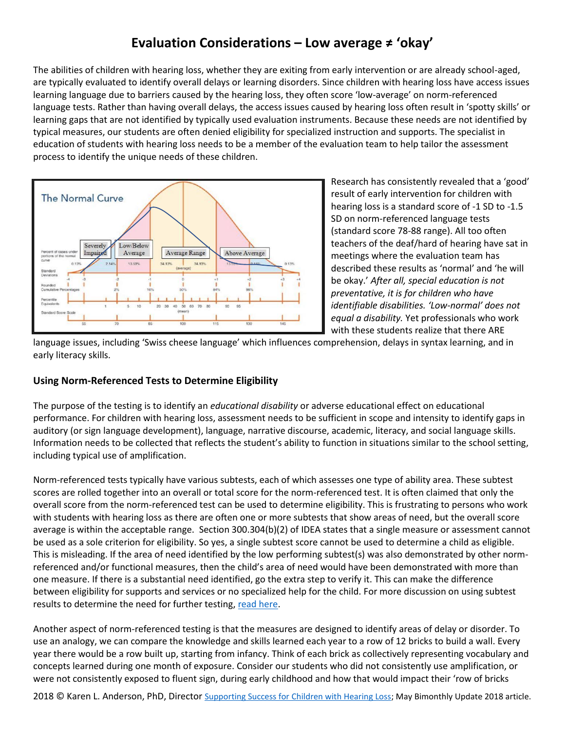## **Evaluation Considerations – Low average ≠ 'okay'**

The abilities of children with hearing loss, whether they are exiting from early intervention or are already school-aged, are typically evaluated to identify overall delays or learning disorders. Since children with hearing loss have access issues learning language due to barriers caused by the hearing loss, they often score 'low-average' on norm-referenced language tests. Rather than having overall delays, the access issues caused by hearing loss often result in 'spotty skills' or learning gaps that are not identified by typically used evaluation instruments. Because these needs are not identified by typical measures, our students are often denied eligibility for specialized instruction and supports. The specialist in education of students with hearing loss needs to be a member of the evaluation team to help tailor the assessment process to identify the unique needs of these children.



Research has consistently revealed that a 'good' result of early intervention for children with hearing loss is a standard score of -1 SD to -1.5 SD on norm-referenced language tests (standard score 78-88 range). All too often teachers of the deaf/hard of hearing have sat in meetings where the evaluation team has described these results as 'normal' and 'he will be okay.' *After all, special education is not preventative, it is for children who have identifiable disabilities. 'Low-normal' does not equal a disability.* Yet professionals who work with these students realize that there ARE

language issues, including 'Swiss cheese language' which influences comprehension, delays in syntax learning, and in early literacy skills.

## **Using Norm-Referenced Tests to Determine Eligibility**

The purpose of the testing is to identify an *educational disability* or adverse educational effect on educational performance. For children with hearing loss, assessment needs to be sufficient in scope and intensity to identify gaps in auditory (or sign language development), language, narrative discourse, academic, literacy, and social language skills. Information needs to be collected that reflects the student's ability to function in situations similar to the school setting, including typical use of amplification.

Norm-referenced tests typically have various subtests, each of which assesses one type of ability area. These subtest scores are rolled together into an overall or total score for the norm-referenced test. It is often claimed that only the overall score from the norm-referenced test can be used to determine eligibility. This is frustrating to persons who work with students with hearing loss as there are often one or more subtests that show areas of need, but the overall score average is within the acceptable range. Section 300.304(b)(2) of IDEA states that a single measure or assessment cannot be used as a sole criterion for eligibility. So yes, a single subtest score cannot be used to determine a child as eligible. This is misleading. If the area of need identified by the low performing subtest(s) was also demonstrated by other normreferenced and/or functional measures, then the child's area of need would have been demonstrated with more than one measure. If there is a substantial need identified, go the extra step to verify it. This can make the difference between eligibility for supports and services or no specialized help for the child. For more discussion on using subtest results to determine the need for further testing[, read here.](https://www.smartspeechtherapy.com/the-limitations-of-using-totalcore-scores-when-determining-speech-language-eligibility/)

Another aspect of norm-referenced testing is that the measures are designed to identify areas of delay or disorder. To use an analogy, we can compare the knowledge and skills learned each year to a row of 12 bricks to build a wall. Every year there would be a row built up, starting from infancy. Think of each brick as collectively representing vocabulary and concepts learned during one month of exposure. Consider our students who did not consistently use amplification, or were not consistently exposed to fluent sign, during early childhood and how that would impact their 'row of bricks

2018 © Karen L. Anderson, PhD, Director [Supporting Success for Children with Hearing Loss;](https://successforkidswithhearingloss.com/) May Bimonthly Update 2018 article.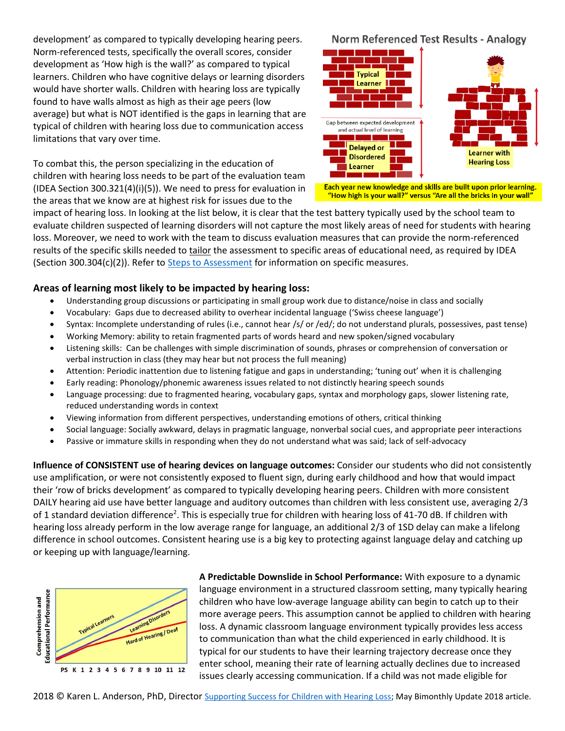development' as compared to typically developing hearing peers. Norm-referenced tests, specifically the overall scores, consider development as 'How high is the wall?' as compared to typical learners. Children who have cognitive delays or learning disorders would have shorter walls. Children with hearing loss are typically found to have walls almost as high as their age peers (low average) but what is NOT identified is the gaps in learning that are typical of children with hearing loss due to communication access limitations that vary over time.

To combat this, the person specializing in the education of children with hearing loss needs to be part of the evaluation team (IDEA Section 300.321(4)(i)(5)). We need to press for evaluation in the areas that we know are at highest risk for issues due to the

**Norm Referenced Test Results - Analogy** 



Each year new knowledge and skills are built upon prior learning. "How high is your wall?" versus "Are all the bricks in your wall"

impact of hearing loss. In looking at the list below, it is clear that the test battery typically used by the school team to evaluate children suspected of learning disorders will not capture the most likely areas of need for students with hearing loss. Moreover, we need to work with the team to discuss evaluation measures that can provide the norm-referenced results of the specific skills needed to tailor the assessment to specific areas of educational need, as required by IDEA (Section 300.304(c)(2)). Refer to [Steps to Assessment](https://successforkidswithhearingloss.com/product/steps-to-assessment/) for information on specific measures.

## **Areas of learning most likely to be impacted by hearing loss:**

- Understanding group discussions or participating in small group work due to distance/noise in class and socially
- Vocabulary: Gaps due to decreased ability to overhear incidental language ('Swiss cheese language')
- Syntax: Incomplete understanding of rules (i.e., cannot hear /s/ or /ed/; do not understand plurals, possessives, past tense)
- Working Memory: ability to retain fragmented parts of words heard and new spoken/signed vocabulary
- Listening skills: Can be challenges with simple discrimination of sounds, phrases or comprehension of conversation or verbal instruction in class (they may hear but not process the full meaning)
- Attention: Periodic inattention due to listening fatigue and gaps in understanding; 'tuning out' when it is challenging
- Early reading: Phonology/phonemic awareness issues related to not distinctly hearing speech sounds
- Language processing: due to fragmented hearing, vocabulary gaps, syntax and morphology gaps, slower listening rate, reduced understanding words in context
- Viewing information from different perspectives, understanding emotions of others, critical thinking
- Social language: Socially awkward, delays in pragmatic language, nonverbal social cues, and appropriate peer interactions
- Passive or immature skills in responding when they do not understand what was said; lack of self-advocacy

**Influence of CONSISTENT use of hearing devices on language outcomes:** Consider our students who did not consistently use amplification, or were not consistently exposed to fluent sign, during early childhood and how that would impact their 'row of bricks development' as compared to typically developing hearing peers. Children with more consistent DAILY hearing aid use have better language and auditory outcomes than children with less consistent use, averaging 2/3 of 1 standard deviation difference<sup>2</sup>. This is especially true for children with hearing loss of 41-70 dB. If children with hearing loss already perform in the low average range for language, an additional 2/3 of 1SD delay can make a lifelong difference in school outcomes. Consistent hearing use is a big key to protecting against language delay and catching up or keeping up with language/learning.



**A Predictable Downslide in School Performance:** With exposure to a dynamic language environment in a structured classroom setting, many typically hearing children who have low-average language ability can begin to catch up to their more average peers. This assumption cannot be applied to children with hearing loss. A dynamic classroom language environment typically provides less access to communication than what the child experienced in early childhood. It is typical for our students to have their learning trajectory decrease once they enter school, meaning their rate of learning actually declines due to increased issues clearly accessing communication. If a child was not made eligible for

2018 © Karen L. Anderson, PhD, Director [Supporting Success for Children with Hearing Loss;](https://successforkidswithhearingloss.com/) May Bimonthly Update 2018 article.